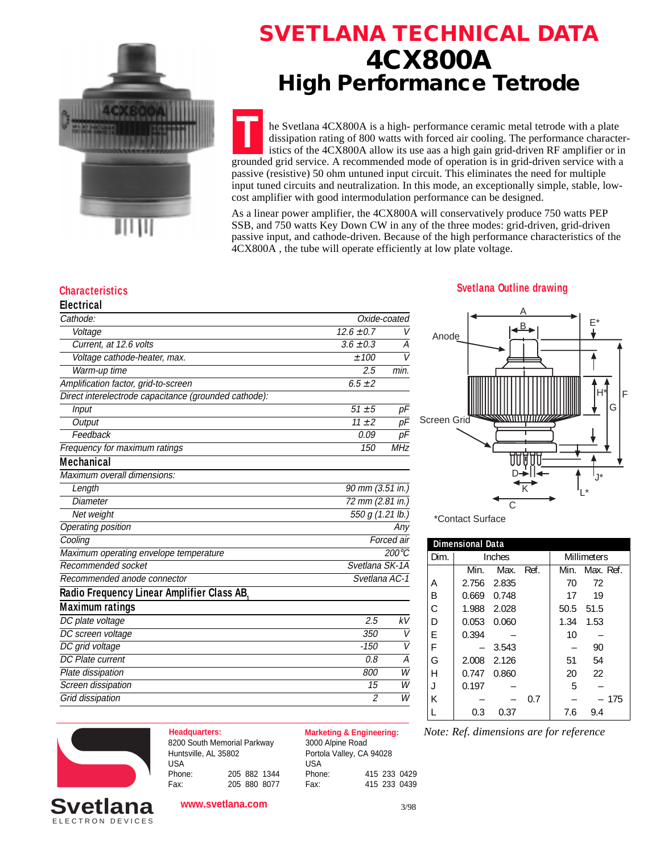

### **4CX800A High Performance Tetrode SVETLANA TECHNICAL DATA**

he Svetlana 4CX800A is a high- performance ceramic metal tetrode with a plate dissipation rating of 800 watts with forced air cooling. The performance characteristics of the 4CX800A allow its use aas a high gain grid-driven RF amplifier or in grounded grid service. A recommended mode of operation is in grid-driven service with a passive (resistive) 50 ohm untuned input circuit. This eliminates the need for multiple input tuned circuits and neutralization. In this mode, an exceptionally simple, stable, lowcost amplifier with good intermodulation performance can be designed. **T**

As a linear power amplifier, the 4CX800A will conservatively produce 750 watts PEP SSB, and 750 watts Key Down CW in any of the three modes: grid-driven, grid-driven passive input, and cathode-driven. Because of the high performance characteristics of the 4CX800A , the tube will operate efficiently at low plate voltage.

| <b>Electrical</b> |  |
|-------------------|--|
|                   |  |

| Cathode:                                              |                  | Oxide-coated    |  |
|-------------------------------------------------------|------------------|-----------------|--|
| Voltage                                               | $12.6 \pm 0.7$   | V               |  |
| Current, at 12.6 volts                                | $3.6 \pm 0.3$    | А               |  |
| Voltage cathode-heater, max.                          | ±100             | V               |  |
| Warm-up time                                          | 2.5              | min.            |  |
| Amplification factor, grid-to-screen                  | $6.5 \pm 2$      |                 |  |
| Direct interelectrode capacitance (grounded cathode): |                  |                 |  |
| Input                                                 | $51 \pm 5$       | pF              |  |
| Output                                                | $\frac{11+2}{2}$ | pF              |  |
| Feedback                                              | 0.09             | рF              |  |
| Frequency for maximum ratings                         | 150              | <b>MHz</b>      |  |
| Mechanical                                            |                  |                 |  |
| Maximum overall dimensions:                           |                  |                 |  |
| Length                                                | 90 mm (3.51 in.) |                 |  |
| <b>Diameter</b>                                       | 72 mm (2.81 in.) |                 |  |
| Net weight                                            | 550 g (1.21 lb.) |                 |  |
| Operating position                                    |                  | Anv             |  |
| Cooling                                               |                  | Forced air      |  |
| Maximum operating envelope temperature                |                  | $200^{\circ}$ C |  |
| Recommended socket                                    | Svetlana SK-1A   |                 |  |
| Recommended anode connector                           | Svetlana AC-1    |                 |  |
| Radio Frequency Linear Amplifier Class AB,            |                  |                 |  |
| <b>Maximum ratings</b>                                |                  |                 |  |
| DC plate voltage                                      | 2.5              | kV              |  |
| DC screen voltage                                     | 350              | V               |  |
| DC grid voltage                                       | $-150$           | $\vee$          |  |
| DC Plate current                                      | 0.8              | А               |  |
| Plate dissipation                                     | 800              | W               |  |
| Screen dissipation                                    | 15               | W               |  |
| Grid dissipation                                      | 2                | W               |  |

### **Characteristics Svetlana Outline drawing**



\*Contact Surface

| <b>Dimensional Data</b> |        |       |      |      |                    |
|-------------------------|--------|-------|------|------|--------------------|
| Dim.                    | Inches |       |      |      | <b>Millimeters</b> |
|                         | Min.   | Max.  | Ref. | Min. | Max. Ref.          |
| А                       | 2.756  | 2.835 |      | 70   | 72                 |
| В                       | 0.669  | 0.748 |      | 17   | 19                 |
| C.                      | 1.988  | 2.028 |      | 50.5 | 51.5               |
| D                       | 0.053  | 0.060 |      | 1.34 | 1.53               |
| F                       | 0.394  |       |      | 10   |                    |
| F                       |        | 3.543 |      |      | 90                 |
| G                       | 2.008  | 2.126 |      | 51   | 54                 |
| Н                       | 0.747  | 0.860 |      | 20   | 22                 |
|                         | 0.197  |       |      | 5    |                    |
| К                       |        |       | 0.7  |      | 175                |
|                         | 0.3    | 0.37  |      | 7.6  | 9.4                |



ELECTRON DEVICES **Svetlana**

#### 8200 South Memorial Parkway Huntsville, AL 35802 USA Phone: 205 882 1344 Fax: 205 880 8077

**www.svetlana.com**

**Headquarters: Marketing & Engineering:** 3000 Alpine Road Portola Valley, CA 94028 USA Phone: 415 233 0429 Fax: 415 233 0439

*Note: Ref. dimensions are for reference*

3/98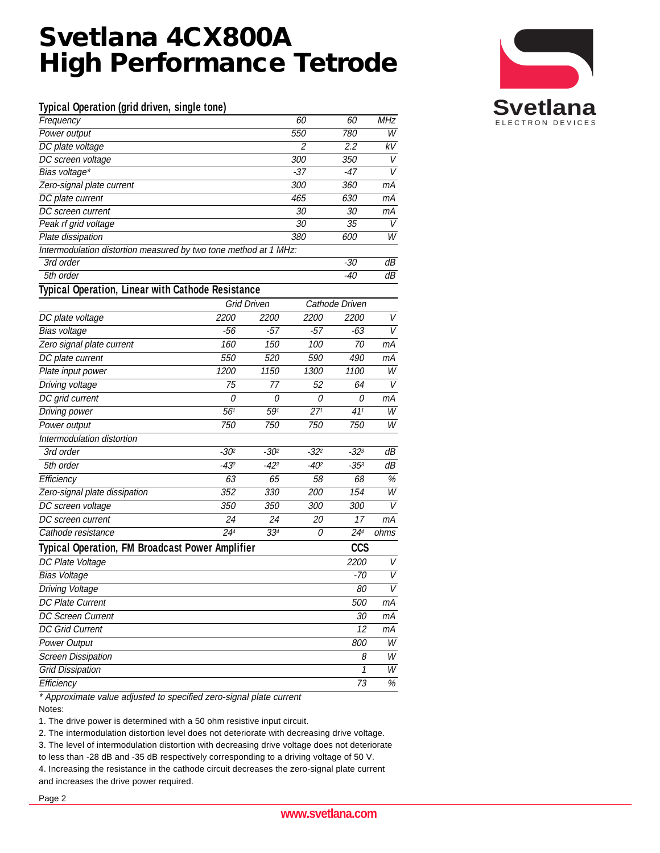# **Svetlana 4CX800A High Performance Tetrode**

#### **Typical Operation (grid driven, single tone)**

| Frequency                                                            |           |                    | 60              | 60              | MHz  |
|----------------------------------------------------------------------|-----------|--------------------|-----------------|-----------------|------|
| Power output                                                         |           |                    | 550             | 780             | W    |
| DC plate voltage                                                     |           |                    | 2               | 2.2             | kV   |
| DC screen voltage                                                    |           |                    | 300             | 350             | V    |
| Bias voltage*                                                        |           |                    | -37             | $-47$           | V    |
| Zero-signal plate current                                            |           |                    | 300             | 360             | mА   |
| DC plate current                                                     |           |                    | 465             | 630             | mА   |
| DC screen current                                                    |           |                    | 30              | 30              | mА   |
| Peak rf grid voltage                                                 |           |                    | 30              | 35              | V    |
| Plate dissipation                                                    |           |                    | 380             | 600             | W    |
| Intermodulation distortion measured by two tone method at 1 MHz:     |           |                    |                 |                 |      |
| 3rd order                                                            |           |                    |                 | $-30$           | dВ   |
| 5th order                                                            |           |                    |                 | -40             | dВ   |
| Typical Operation, Linear with Cathode Resistance                    |           |                    |                 |                 |      |
|                                                                      |           | <b>Grid Driven</b> |                 | Cathode Driven  |      |
| DC plate voltage                                                     | 2200      | 2200               | 2200            | 2200            | V    |
| Bias voltage                                                         | -56       | -57                | -57             | -63             | V    |
| Zero signal plate current                                            | 160       | 150                | 100             | 70              | mА   |
| DC plate current                                                     | 550       | 520                | 590             | 490             | mА   |
| Plate input power                                                    | 1200      | 1150               | 1300            | 1100            | W    |
| Driving voltage                                                      | 75        | 77                 | 52              | 64              | V    |
| DC grid current                                                      | 0         | 0                  | 0               | 0               | mА   |
| Driving power                                                        | 561       | 591                | 27 <sup>1</sup> | 41 <sup>1</sup> | W    |
| Power output                                                         | 750       | 750                | 750             | 750             | W    |
| Intermodulation distortion                                           |           |                    |                 |                 |      |
| 3rd order                                                            | $-30^{2}$ | $-30^{2}$          | $-32^{2}$       | $-32^{3}$       | dВ   |
| 5th order                                                            | $-432$    | $-42^{2}$          | $-402$          | $-35^{3}$       | dВ   |
| Efficiency                                                           | 63        | 65                 | 58              | 68              | $\%$ |
| Zero-signal plate dissipation                                        | 352       | 330                | 200             | 154             | W    |
| DC screen voltage                                                    | 350       | 350                | 300             | 300             | V    |
| DC screen current                                                    | 24        | 24                 | 20              | 17              | mА   |
| Cathode resistance                                                   | 244       | 33 <sup>4</sup>    | 0               | 244             | ohms |
| <b>CCS</b><br><b>Typical Operation, FM Broadcast Power Amplifier</b> |           |                    |                 |                 |      |
| DC Plate Voltage                                                     |           |                    |                 | 2200            | V    |
| <b>Bias Voltage</b>                                                  |           |                    |                 | $-70$           | V    |
| Driving Voltage                                                      |           |                    |                 | 80              | V    |
| <b>DC Plate Current</b>                                              |           |                    |                 | 500             | mА   |
| <b>DC Screen Current</b>                                             |           |                    |                 | 30              | mА   |
| <b>DC Grid Current</b>                                               |           |                    |                 | 12              | mА   |
| <b>Power Output</b>                                                  |           |                    |                 | 800             | W    |
| <b>Screen Dissipation</b>                                            |           |                    |                 | 8               | W    |
| <b>Grid Dissipation</b>                                              |           |                    |                 | 1               | W    |
| Efficiency                                                           |           |                    |                 | 73              | %    |
| $\Lambda$ .                                                          |           |                    |                 |                 |      |

Approximate value adjusted to specified zero-signal plate current Notes:

1. The drive power is determined with a 50 ohm resistive input circuit.

2. The intermodulation distortion level does not deteriorate with decreasing drive voltage.

3. The level of intermodulation distortion with decreasing drive voltage does not deteriorate

to less than -28 dB and -35 dB respectively corresponding to a driving voltage of 50 V.

4. Increasing the resistance in the cathode circuit decreases the zero-signal plate current and increases the drive power required.

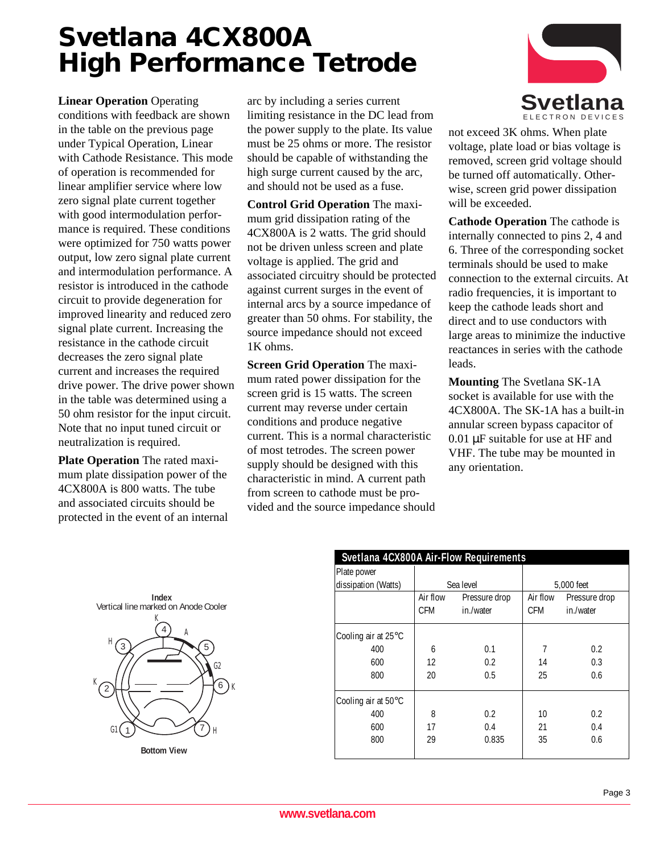# **Svetlana 4CX800A High Performance Tetrode**

**Linear Operation** Operating conditions with feedback are shown in the table on the previous page under Typical Operation, Linear with Cathode Resistance. This mode of operation is recommended for linear amplifier service where low zero signal plate current together with good intermodulation performance is required. These conditions were optimized for 750 watts power output, low zero signal plate current and intermodulation performance. A resistor is introduced in the cathode circuit to provide degeneration for improved linearity and reduced zero signal plate current. Increasing the resistance in the cathode circuit decreases the zero signal plate current and increases the required drive power. The drive power shown in the table was determined using a 50 ohm resistor for the input circuit. Note that no input tuned circuit or neutralization is required.

**Plate Operation** The rated maximum plate dissipation power of the 4CX800A is 800 watts. The tube and associated circuits should be protected in the event of an internal arc by including a series current limiting resistance in the DC lead from the power supply to the plate. Its value must be 25 ohms or more. The resistor should be capable of withstanding the high surge current caused by the arc, and should not be used as a fuse.

**Control Grid Operation** The maximum grid dissipation rating of the 4CX800A is 2 watts. The grid should not be driven unless screen and plate voltage is applied. The grid and associated circuitry should be protected against current surges in the event of internal arcs by a source impedance of greater than 50 ohms. For stability, the source impedance should not exceed 1K ohms.

**Screen Grid Operation** The maximum rated power dissipation for the screen grid is 15 watts. The screen current may reverse under certain conditions and produce negative current. This is a normal characteristic of most tetrodes. The screen power supply should be designed with this characteristic in mind. A current path from screen to cathode must be provided and the source impedance should



not exceed 3K ohms. When plate voltage, plate load or bias voltage is removed, screen grid voltage should be turned off automatically. Otherwise, screen grid power dissipation will be exceeded.

**Cathode Operation** The cathode is internally connected to pins 2, 4 and 6. Three of the corresponding socket terminals should be used to make connection to the external circuits. At radio frequencies, it is important to keep the cathode leads short and direct and to use conductors with large areas to minimize the inductive reactances in series with the cathode leads.

**Mounting** The Svetlana SK-1A socket is available for use with the 4CX800A. The SK-1A has a built-in annular screen bypass capacitor of 0.01 µF suitable for use at HF and VHF. The tube may be mounted in any orientation.





| Svetlana 4CX800A Air-Flow Requirements |           |               |            |               |  |
|----------------------------------------|-----------|---------------|------------|---------------|--|
| Plate power                            |           |               |            |               |  |
| dissipation (Watts)                    | Sea level |               | 5,000 feet |               |  |
|                                        | Air flow  | Pressure drop | Air flow   | Pressure drop |  |
|                                        | CFM       | in./water     | CFM        | in./water     |  |
| Cooling air at 25°C                    |           |               |            |               |  |
| 400                                    | 6         | 0.1           | 7          | 0.2           |  |
| 600                                    | 12        | 0.2           | 14         | 0.3           |  |
| 800                                    | 20        | 0.5           | 25         | 0.6           |  |
| Cooling air at 50°C                    |           |               |            |               |  |
| 400                                    | 8         | 0.2           | 10         | 0.2           |  |
| 600                                    | 17        | 0.4           | 21         | 0.4           |  |
| 800                                    | 29        | 0.835         | 35         | 0.6           |  |